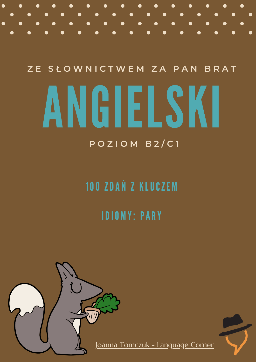**Z E S Ł O W N I C T W E M Z A P A N B R A T**

# ANGIELSKI

### **P O Z IO M B 2 / C 1**

# 100 ZDAŃ Z KLUCZE M

# IDIO M Y: PARY

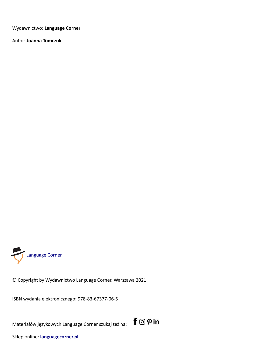Wydawnictwo: **Language Corner**

Autor: **Joanna Tomczuk**



© Copyright by Wydawnictwo Language Corner, Warszawa 2021

ISBN wydania elektronicznego: 978-83-67377-06-5

Materiałów językowych Language Corner szukaj też na:  $\mathsf{f} \odot \rho$  in



Sklep online: **[languagecorner.pl](https://languagecorner.pl/product-category/wszystkie-produkty/?v=9b7d173b068d)**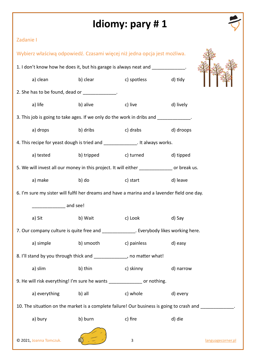| Zadanie I                                                                                                |                                          |                              |           |                   |  |
|----------------------------------------------------------------------------------------------------------|------------------------------------------|------------------------------|-----------|-------------------|--|
| Wybierz właściwą odpowiedź. Czasami więcej niż jedna opcja jest możliwa.                                 |                                          |                              |           |                   |  |
| 1. I don't know how he does it, but his garage is always neat and _____________.                         |                                          |                              |           |                   |  |
| a) clean                                                                                                 |                                          | b) clear c) spotless d) tidy |           |                   |  |
| 2. She has to be found, dead or _____________.                                                           |                                          |                              |           |                   |  |
| a) life                                                                                                  | b) alive c) live                         |                              | d) lively |                   |  |
| 3. This job is going to take ages. If we only do the work in dribs and ____________.                     |                                          |                              |           |                   |  |
| a) drops                                                                                                 | b) dribs c) drabs d) droops              |                              |           |                   |  |
| 4. This recipe for yeast dough is tried and ______________. It always works.                             |                                          |                              |           |                   |  |
|                                                                                                          | a) tested b) tripped c) turned d) tipped |                              |           |                   |  |
| 5. We will invest all our money in this project. It will either _____________ or break us.               |                                          |                              |           |                   |  |
| a) make                                                                                                  |                                          | b) do c) start d) leave      |           |                   |  |
| 6. I'm sure my sister will fulfil her dreams and have a marina and a lavender field one day.             |                                          |                              |           |                   |  |
| _____________ and see!                                                                                   |                                          |                              |           |                   |  |
| a) Sit                                                                                                   | b) Wait                                  | c) Look                      | d) Say    |                   |  |
| 7. Our company culture is quite free and ______________. Everybody likes working here.                   |                                          |                              |           |                   |  |
| a) simple                                                                                                | b) smooth                                | c) painless                  | d) easy   |                   |  |
| 8. I'll stand by you through thick and ______________, no matter what!                                   |                                          |                              |           |                   |  |
| a) slim                                                                                                  | b) thin                                  | c) skinny                    | d) narrow |                   |  |
| 9. He will risk everything! I'm sure he wants ____________ or nothing.                                   |                                          |                              |           |                   |  |
| a) everything                                                                                            | b) all                                   | c) whole                     | d) every  |                   |  |
| 10. The situation on the market is a complete failure! Our business is going to crash and _____________. |                                          |                              |           |                   |  |
| a) bury                                                                                                  | b) burn                                  | c) fire                      | d) die    |                   |  |
| © 2021, Joanna Tomczuk.                                                                                  |                                          | $\overline{3}$               |           | languagecorner.pl |  |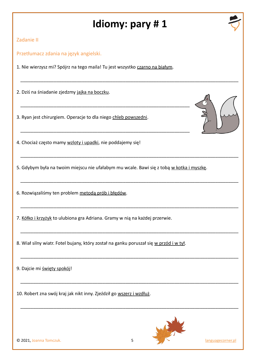\_\_\_\_\_\_\_\_\_\_\_\_\_\_\_\_\_\_\_\_\_\_\_\_\_\_\_\_\_\_\_\_\_\_\_\_\_\_\_\_\_\_\_\_\_\_\_\_\_\_\_\_\_\_\_\_\_\_\_\_\_\_\_\_\_\_\_\_\_\_\_\_\_\_\_\_\_\_\_\_\_\_\_\_\_

\_\_\_\_\_\_\_\_\_\_\_\_\_\_\_\_\_\_\_\_\_\_\_\_\_\_\_\_\_\_\_\_\_\_\_\_\_\_\_\_\_\_\_\_\_\_\_\_\_\_\_\_\_\_\_\_\_\_\_\_\_\_\_\_\_\_\_\_\_\_\_\_\_\_\_\_\_\_\_\_\_\_\_\_\_

\_\_\_\_\_\_\_\_\_\_\_\_\_\_\_\_\_\_\_\_\_\_\_\_\_\_\_\_\_\_\_\_\_\_\_\_\_\_\_\_\_\_\_\_\_\_\_\_\_\_\_\_\_\_\_\_\_\_\_\_\_\_\_\_\_\_\_\_\_\_\_\_\_\_\_\_\_\_\_\_\_\_\_\_\_

\_\_\_\_\_\_\_\_\_\_\_\_\_\_\_\_\_\_\_\_\_\_\_\_\_\_\_\_\_\_\_\_\_\_\_\_\_\_\_\_\_\_\_\_\_\_\_\_\_\_\_\_\_\_\_\_\_\_\_\_\_\_\_\_\_\_\_\_\_\_\_\_\_\_\_\_\_\_\_\_\_\_\_\_\_

\_\_\_\_\_\_\_\_\_\_\_\_\_\_\_\_\_\_\_\_\_\_\_\_\_\_\_\_\_\_\_\_\_\_\_\_\_\_\_\_\_\_\_\_\_\_\_\_\_\_\_\_\_\_\_\_\_\_\_\_\_\_\_\_\_\_\_\_\_\_\_\_\_\_\_\_\_\_\_\_\_\_\_\_\_

\_\_\_\_\_\_\_\_\_\_\_\_\_\_\_\_\_\_\_\_\_\_\_\_\_\_\_\_\_\_\_\_\_\_\_\_\_\_\_\_\_\_\_\_\_\_\_\_\_\_\_\_\_\_\_\_\_\_\_\_\_\_\_\_\_\_\_\_\_\_\_\_\_\_\_\_\_\_\_\_\_\_\_\_\_

\_\_\_\_\_\_\_\_\_\_\_\_\_\_\_\_\_\_\_\_\_\_\_\_\_\_\_\_\_\_\_\_\_\_\_\_\_\_\_\_\_\_\_\_\_\_\_\_\_\_\_\_\_\_\_\_\_\_\_\_\_\_\_\_\_\_\_\_\_\_\_\_\_\_\_\_\_\_\_\_\_\_\_\_\_



#### Zadanie II

Przetłumacz zdania na język angielski.

1. Nie wierzysz mi? Spójrz na tego maila! Tu jest wszystko czarno na białym.

\_\_\_\_\_\_\_\_\_\_\_\_\_\_\_\_\_\_\_\_\_\_\_\_\_\_\_\_\_\_\_\_\_\_\_\_\_\_\_\_\_\_\_\_\_\_\_\_\_\_\_\_\_\_\_\_\_\_\_\_\_\_\_\_\_\_

\_\_\_\_\_\_\_\_\_\_\_\_\_\_\_\_\_\_\_\_\_\_\_\_\_\_\_\_\_\_\_\_\_\_\_\_\_\_\_\_\_\_\_\_\_\_\_\_\_\_\_\_\_\_\_\_\_\_\_\_\_\_\_\_\_\_

2. Dziś na śniadanie zjedzmy jajka na boczku.

3. Ryan jest chirurgiem. Operacje to dla niego chleb powszedni.



5. Gdybym była na twoim miejscu nie ufałabym mu wcale. Bawi się z tobą w kotka i myszkę.

6. Rozwiązaliśmy ten problem metodą prób i błędów.

7. Kółko i krzyżyk to ulubiona gra Adriana. Gramy w nią na każdej przerwie.

8. Wiał silny wiatr. Fotel bujany, który został na ganku poruszał się w przód i w tył.

9. Dajcie mi święty spokój!

10. Robert zna swój kraj jak nikt inny. Zjeździł go wszerz i wzdłuż.





© 2021, Joanna Tomczuk. 5 [languagecorner.pl](https://languagecorner.pl/product-category/wszystkie-produkty/?v=9b7d173b068d)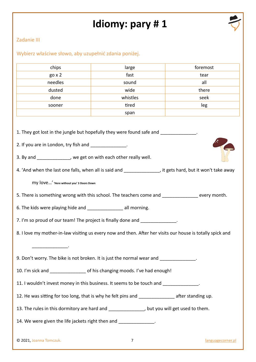

#### Zadanie III

Wybierz właściwe słowo, aby uzupełnić zdania poniżej.

| chips                                                                                                                                                                                                                                                                                                                                                                       | large          | foremost          |  |  |  |
|-----------------------------------------------------------------------------------------------------------------------------------------------------------------------------------------------------------------------------------------------------------------------------------------------------------------------------------------------------------------------------|----------------|-------------------|--|--|--|
| $go \times 2$                                                                                                                                                                                                                                                                                                                                                               | fast           | tear              |  |  |  |
| needles                                                                                                                                                                                                                                                                                                                                                                     | sound          | all               |  |  |  |
| dusted                                                                                                                                                                                                                                                                                                                                                                      | wide           | there             |  |  |  |
| done                                                                                                                                                                                                                                                                                                                                                                        | whistles       | seek              |  |  |  |
| sooner                                                                                                                                                                                                                                                                                                                                                                      | tired          | leg               |  |  |  |
|                                                                                                                                                                                                                                                                                                                                                                             | span           |                   |  |  |  |
| 1. They got lost in the jungle but hopefully they were found safe and ____________.<br>2. If you are in London, try fish and ______________.<br>3. By and ______________, we get on with each other really well.<br>4. 'And when the last one falls, when all is said and _______________, it gets hard, but it won't take away<br>My lOVe' 'Here without you' 3 Doors Down |                |                   |  |  |  |
| 5. There is something wrong with this school. The teachers come and _____________ every month.                                                                                                                                                                                                                                                                              |                |                   |  |  |  |
| 6. The kids were playing hide and _______________________ all morning.                                                                                                                                                                                                                                                                                                      |                |                   |  |  |  |
| 7. I'm so proud of our team! The project is finally done and _____________.                                                                                                                                                                                                                                                                                                 |                |                   |  |  |  |
| 8. I love my mother-in-law visiting us every now and then. After her visits our house is totally spick and                                                                                                                                                                                                                                                                  |                |                   |  |  |  |
| 9. Don't worry. The bike is not broken. It is just the normal wear and _____________.                                                                                                                                                                                                                                                                                       |                |                   |  |  |  |
| 10. I'm sick and __________________ of his changing moods. I've had enough!                                                                                                                                                                                                                                                                                                 |                |                   |  |  |  |
| 11. I wouldn't invest money in this business. It seems to be touch and _____________.                                                                                                                                                                                                                                                                                       |                |                   |  |  |  |
| 12. He was sitting for too long, that is why he felt pins and _________________ after standing up.                                                                                                                                                                                                                                                                          |                |                   |  |  |  |
| 13. The rules in this dormitory are hard and _______________, but you will get used to them.                                                                                                                                                                                                                                                                                |                |                   |  |  |  |
| 14. We were given the life jackets right then and ______________.                                                                                                                                                                                                                                                                                                           |                |                   |  |  |  |
| © 2021, Joanna Tomczuk.                                                                                                                                                                                                                                                                                                                                                     | $\overline{7}$ | languagecorner.pl |  |  |  |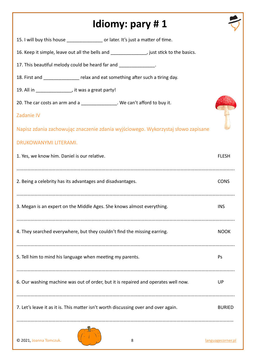| Idiomy: pary #1                                                                            |                   |
|--------------------------------------------------------------------------------------------|-------------------|
| 15. I will buy this house _________________ or later. It's just a matter of time.          |                   |
| 16. Keep it simple, leave out all the bells and _______________, just stick to the basics. |                   |
| 17. This beautiful melody could be heard far and ______________.                           |                   |
| 18. First and _______________ relax and eat something after such a tiring day.             |                   |
| 19. All in ________________, it was a great party!                                         |                   |
| 20. The car costs an arm and a _______________. We can't afford to buy it.                 |                   |
| <b>Zadanie IV</b>                                                                          |                   |
| Napisz zdania zachowując znaczenie zdania wyjściowego. Wykorzystaj słowo zapisane          |                   |
| DRUKOWANYMI LITERAMI.                                                                      |                   |
| 1. Yes, we know him. Daniel is our relative.                                               | <b>FLESH</b>      |
|                                                                                            |                   |
| 2. Being a celebrity has its advantages and disadvantages.                                 | <b>CONS</b>       |
|                                                                                            |                   |
| 3. Megan is an expert on the Middle Ages. She knows almost everything.                     | <b>INS</b>        |
|                                                                                            |                   |
| 4. They searched everywhere, but they couldn't find the missing earring.                   | <b>NOOK</b>       |
|                                                                                            |                   |
| 5. Tell him to mind his language when meeting my parents.                                  | Ps                |
|                                                                                            |                   |
| 6. Our washing machine was out of order, but it is repaired and operates well now.         | UP                |
|                                                                                            |                   |
| 7. Let's leave it as it is. This matter isn't worth discussing over and over again.        | <b>BURIED</b>     |
|                                                                                            |                   |
| © 2021, Joanna Tomczuk.<br>8                                                               | languagecorner.pl |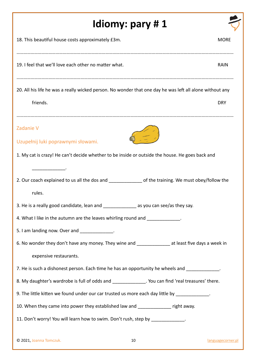| 18. This beautiful house costs approximately £3m.<br>19. I feel that we'll love each other no matter what.<br>20. All his life he was a really wicked person. No wonder that one day he was left all alone without any<br>friends.<br><b>Zadanie V</b><br>Uzupełnij luki poprawnymi słowami.<br>1. My cat is crazy! He can't decide whether to be inside or outside the house. He goes back and | <b>MORE</b><br><b>RAIN</b> |
|-------------------------------------------------------------------------------------------------------------------------------------------------------------------------------------------------------------------------------------------------------------------------------------------------------------------------------------------------------------------------------------------------|----------------------------|
|                                                                                                                                                                                                                                                                                                                                                                                                 |                            |
|                                                                                                                                                                                                                                                                                                                                                                                                 |                            |
|                                                                                                                                                                                                                                                                                                                                                                                                 |                            |
|                                                                                                                                                                                                                                                                                                                                                                                                 | <b>DRY</b>                 |
|                                                                                                                                                                                                                                                                                                                                                                                                 |                            |
|                                                                                                                                                                                                                                                                                                                                                                                                 |                            |
|                                                                                                                                                                                                                                                                                                                                                                                                 |                            |
|                                                                                                                                                                                                                                                                                                                                                                                                 |                            |
| 2. Our coach explained to us all the dos and source of the training. We must obey/follow the                                                                                                                                                                                                                                                                                                    |                            |
| rules.                                                                                                                                                                                                                                                                                                                                                                                          |                            |
| 3. He is a really good candidate, lean and ___________________ as you can see/as they say.                                                                                                                                                                                                                                                                                                      |                            |
| 4. What I like in the autumn are the leaves whirling round and _____________.                                                                                                                                                                                                                                                                                                                   |                            |
| 5. I am landing now. Over and _____________.                                                                                                                                                                                                                                                                                                                                                    |                            |
| 6. No wonder they don't have any money. They wine and _______________ at least five days a week in                                                                                                                                                                                                                                                                                              |                            |
| expensive restaurants.                                                                                                                                                                                                                                                                                                                                                                          |                            |
| 7. He is such a dishonest person. Each time he has an opportunity he wheels and _____________.                                                                                                                                                                                                                                                                                                  |                            |
| 8. My daughter's wardrobe is full of odds and ______________. You can find 'real treasures' there.                                                                                                                                                                                                                                                                                              |                            |
| 9. The little kitten we found under our car trusted us more each day little by _____________.                                                                                                                                                                                                                                                                                                   |                            |
| 10. When they came into power they established law and _____________ right away.                                                                                                                                                                                                                                                                                                                |                            |
| 11. Don't worry! You will learn how to swim. Don't rush, step by ____________.                                                                                                                                                                                                                                                                                                                  |                            |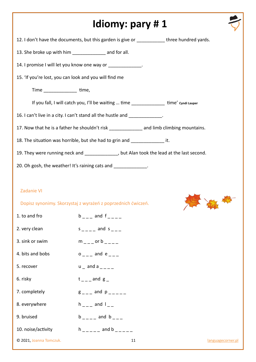|                                                         | Idiomy: pary #1                                                                             |                   |
|---------------------------------------------------------|---------------------------------------------------------------------------------------------|-------------------|
|                                                         | 12. I don't have the documents, but this garden is give or ___________ three hundred yards. |                   |
| 13. She broke up with him ________________ and for all. |                                                                                             |                   |
|                                                         | 14. I promise I will let you know one way or _____________.                                 |                   |
| 15. 'If you're lost, you can look and you will find me  |                                                                                             |                   |
| Time __________________ time,                           |                                                                                             |                   |
|                                                         | If you fall, I will catch you, I'll be waiting  time _______________ time' cyndi Lauper     |                   |
|                                                         | 16. I can't live in a city. I can't stand all the hustle and _____________.                 |                   |
|                                                         | 17. Now that he is a father he shouldn't risk ______________ and limb climbing mountains.   |                   |
|                                                         | 18. The situation was horrible, but she had to grin and _______________ it.                 |                   |
|                                                         | 19. They were running neck and ______________, but Alan took the lead at the last second.   |                   |
|                                                         | 20. Oh gosh, the weather! It's raining cats and ______________.                             |                   |
| <b>Zadanie VI</b>                                       | Dopisz synonimy. Skorzystaj z wyrażeń z poprzednich ćwiczeń.                                |                   |
| 1. to and fro                                           | $b_{--}$ and $f_{---}$                                                                      |                   |
| 2. very clean                                           | $s$ <sub>___</sub> and $s$ <sub>___</sub>                                                   |                   |
| 3. sink or swim                                         | $m$ $_{---}$ or b $_{---}$                                                                  |                   |
| 4. bits and bobs                                        | $0 \quad - \quad \text{and} \quad e \quad \quad \quad$                                      |                   |
| 5. recover                                              | $u$ and a $_{---}$                                                                          |                   |
| 6. risky                                                | $t_{---}$ and $g_{--}$                                                                      |                   |
| 7. completely                                           | $g$ <sub>--</sub> and $p$ <sub>-----</sub>                                                  |                   |
| 8. everywhere                                           | $h_{---}$ and $I_{---}$                                                                     |                   |
| 9. bruised                                              | $b$ _ _ _ and b _ _ _                                                                       |                   |
| 10. noise/activity                                      | $h$ _ _ _ _ _ and b _ _ _                                                                   |                   |
| © 2021, Joanna Tomczuk.                                 | 11                                                                                          | languagecorner.pl |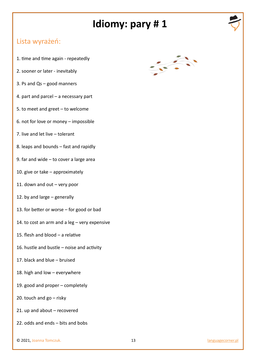

#### Lista wyrażeń:

- 1. time and time again repeatedly
- 2. sooner or later inevitably
- 3. Ps and Qs good manners
- 4. part and parcel a necessary part
- 5. to meet and greet to welcome
- 6. not for love or money impossible
- 7. live and let live tolerant
- 8. leaps and bounds fast and rapidly
- 9. far and wide to cover a large area
- 10. give or take approximately
- 11. down and out very poor
- 12. by and large generally
- 13. for better or worse for good or bad
- 14. to cost an arm and a leg very expensive
- 15. flesh and blood a relative
- 16. hustle and bustle noise and activity
- 17. black and blue bruised
- 18. high and low everywhere
- 19. good and proper completely
- 20. touch and  $go risky$
- 21. up and about recovered
- 22. odds and ends bits and bobs